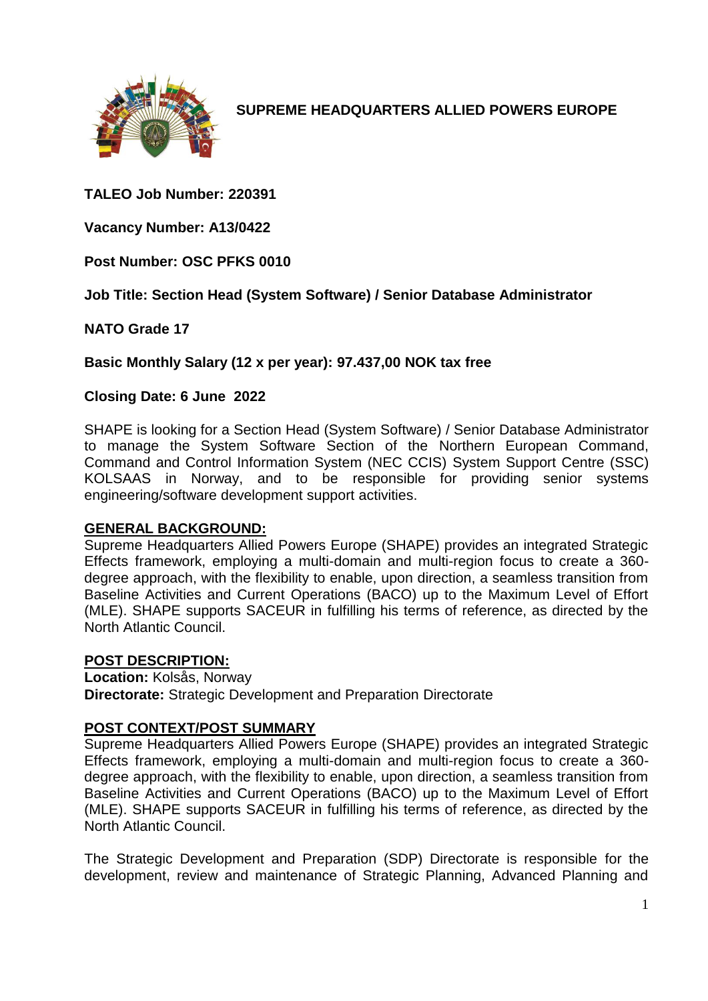

**SUPREME HEADQUARTERS ALLIED POWERS EUROPE**

# **TALEO Job Number: 220391**

**Vacancy Number: A13/0422**

**Post Number: OSC PFKS 0010**

**Job Title: Section Head (System Software) / Senior Database Administrator**

**NATO Grade 17**

**Basic Monthly Salary (12 x per year): 97.437,00 NOK tax free** 

#### **Closing Date: 6 June 2022**

SHAPE is looking for a Section Head (System Software) / Senior Database Administrator to manage the System Software Section of the Northern European Command, Command and Control Information System (NEC CCIS) System Support Centre (SSC) KOLSAAS in Norway, and to be responsible for providing senior systems engineering/software development support activities.

#### **GENERAL BACKGROUND:**

Supreme Headquarters Allied Powers Europe (SHAPE) provides an integrated Strategic Effects framework, employing a multi-domain and multi-region focus to create a 360 degree approach, with the flexibility to enable, upon direction, a seamless transition from Baseline Activities and Current Operations (BACO) up to the Maximum Level of Effort (MLE). SHAPE supports SACEUR in fulfilling his terms of reference, as directed by the North Atlantic Council.

#### **POST DESCRIPTION:**

**Location:** Kolsås, Norway **Directorate:** Strategic Development and Preparation Directorate

### **POST CONTEXT/POST SUMMARY**

Supreme Headquarters Allied Powers Europe (SHAPE) provides an integrated Strategic Effects framework, employing a multi-domain and multi-region focus to create a 360 degree approach, with the flexibility to enable, upon direction, a seamless transition from Baseline Activities and Current Operations (BACO) up to the Maximum Level of Effort (MLE). SHAPE supports SACEUR in fulfilling his terms of reference, as directed by the North Atlantic Council.

The Strategic Development and Preparation (SDP) Directorate is responsible for the development, review and maintenance of Strategic Planning, Advanced Planning and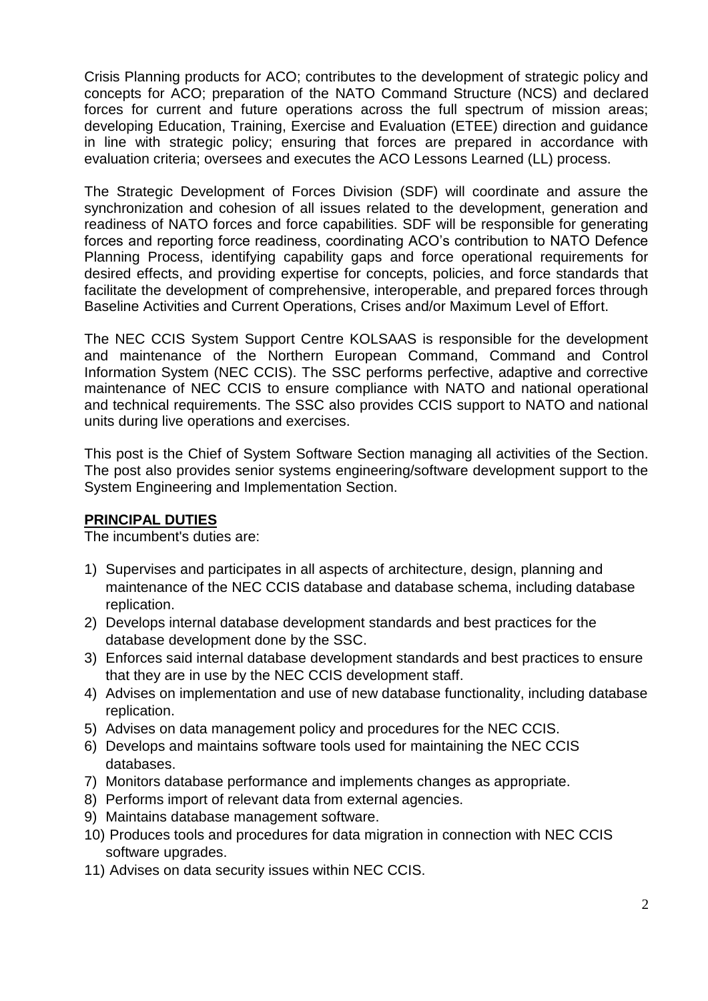Crisis Planning products for ACO; contributes to the development of strategic policy and concepts for ACO; preparation of the NATO Command Structure (NCS) and declared forces for current and future operations across the full spectrum of mission areas; developing Education, Training, Exercise and Evaluation (ETEE) direction and guidance in line with strategic policy; ensuring that forces are prepared in accordance with evaluation criteria; oversees and executes the ACO Lessons Learned (LL) process.

The Strategic Development of Forces Division (SDF) will coordinate and assure the synchronization and cohesion of all issues related to the development, generation and readiness of NATO forces and force capabilities. SDF will be responsible for generating forces and reporting force readiness, coordinating ACO's contribution to NATO Defence Planning Process, identifying capability gaps and force operational requirements for desired effects, and providing expertise for concepts, policies, and force standards that facilitate the development of comprehensive, interoperable, and prepared forces through Baseline Activities and Current Operations, Crises and/or Maximum Level of Effort.

The NEC CCIS System Support Centre KOLSAAS is responsible for the development and maintenance of the Northern European Command, Command and Control Information System (NEC CCIS). The SSC performs perfective, adaptive and corrective maintenance of NEC CCIS to ensure compliance with NATO and national operational and technical requirements. The SSC also provides CCIS support to NATO and national units during live operations and exercises.

This post is the Chief of System Software Section managing all activities of the Section. The post also provides senior systems engineering/software development support to the System Engineering and Implementation Section.

### **PRINCIPAL DUTIES**

The incumbent's duties are:

- 1) Supervises and participates in all aspects of architecture, design, planning and maintenance of the NEC CCIS database and database schema, including database replication.
- 2) Develops internal database development standards and best practices for the database development done by the SSC.
- 3) Enforces said internal database development standards and best practices to ensure that they are in use by the NEC CCIS development staff.
- 4) Advises on implementation and use of new database functionality, including database replication.
- 5) Advises on data management policy and procedures for the NEC CCIS.
- 6) Develops and maintains software tools used for maintaining the NEC CCIS databases.
- 7) Monitors database performance and implements changes as appropriate.
- 8) Performs import of relevant data from external agencies.
- 9) Maintains database management software.
- 10) Produces tools and procedures for data migration in connection with NEC CCIS software upgrades.
- 11) Advises on data security issues within NEC CCIS.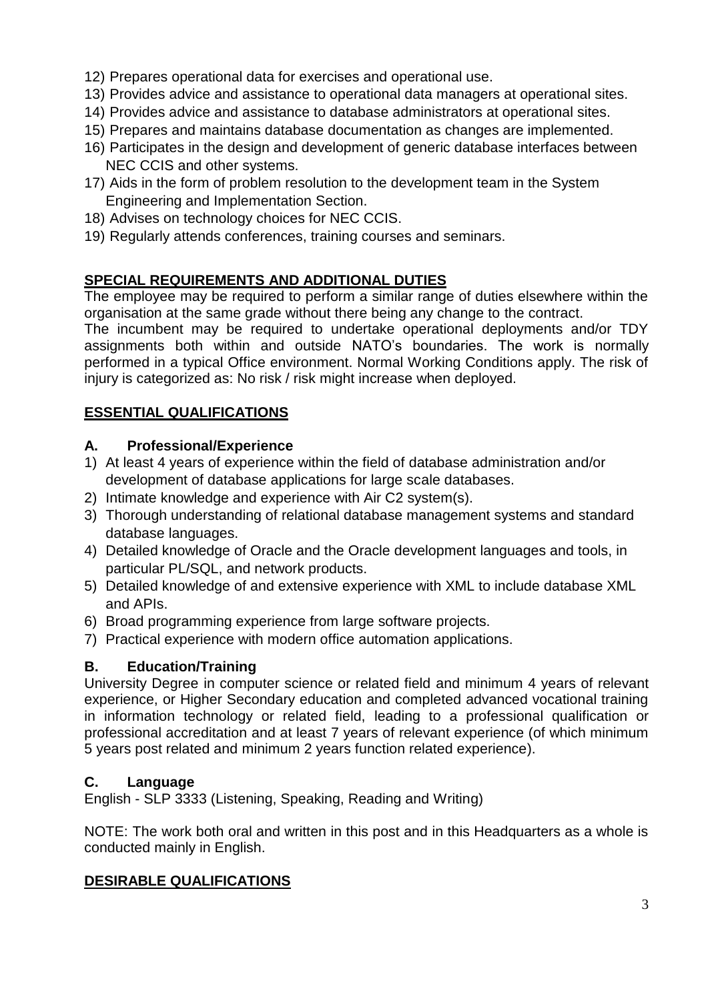- 12) Prepares operational data for exercises and operational use.
- 13) Provides advice and assistance to operational data managers at operational sites.
- 14) Provides advice and assistance to database administrators at operational sites.
- 15) Prepares and maintains database documentation as changes are implemented.
- 16) Participates in the design and development of generic database interfaces between NEC CCIS and other systems.
- 17) Aids in the form of problem resolution to the development team in the System Engineering and Implementation Section.
- 18) Advises on technology choices for NEC CCIS.
- 19) Regularly attends conferences, training courses and seminars.

### **SPECIAL REQUIREMENTS AND ADDITIONAL DUTIES**

The employee may be required to perform a similar range of duties elsewhere within the organisation at the same grade without there being any change to the contract.

The incumbent may be required to undertake operational deployments and/or TDY assignments both within and outside NATO's boundaries. The work is normally performed in a typical Office environment. Normal Working Conditions apply. The risk of injury is categorized as: No risk / risk might increase when deployed.

### **ESSENTIAL QUALIFICATIONS**

#### **A. Professional/Experience**

- 1) At least 4 years of experience within the field of database administration and/or development of database applications for large scale databases.
- 2) Intimate knowledge and experience with Air C2 system(s).
- 3) Thorough understanding of relational database management systems and standard database languages.
- 4) Detailed knowledge of Oracle and the Oracle development languages and tools, in particular PL/SQL, and network products.
- 5) Detailed knowledge of and extensive experience with XML to include database XML and APIs.
- 6) Broad programming experience from large software projects.
- 7) Practical experience with modern office automation applications.

### **B. Education/Training**

University Degree in computer science or related field and minimum 4 years of relevant experience, or Higher Secondary education and completed advanced vocational training in information technology or related field, leading to a professional qualification or professional accreditation and at least 7 years of relevant experience (of which minimum 5 years post related and minimum 2 years function related experience).

### **C. Language**

English - SLP 3333 (Listening, Speaking, Reading and Writing)

NOTE: The work both oral and written in this post and in this Headquarters as a whole is conducted mainly in English.

### **DESIRABLE QUALIFICATIONS**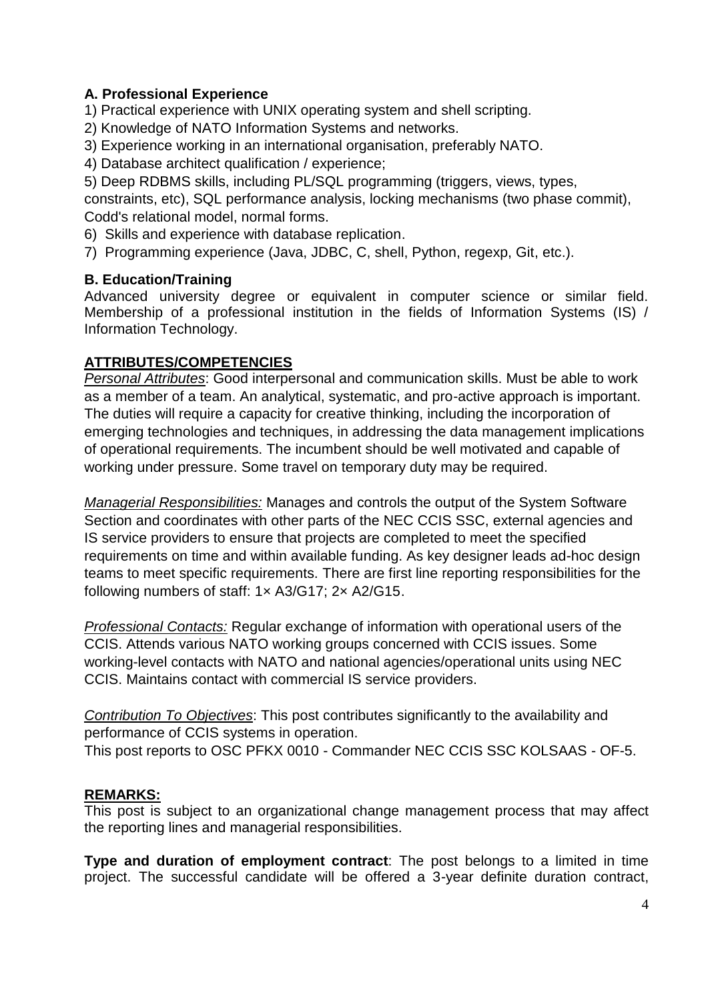# **A. Professional Experience**

1) Practical experience with UNIX operating system and shell scripting.

- 2) Knowledge of NATO Information Systems and networks.
- 3) Experience working in an international organisation, preferably NATO.
- 4) Database architect qualification / experience;

5) Deep RDBMS skills, including PL/SQL programming (triggers, views, types,

constraints, etc), SQL performance analysis, locking mechanisms (two phase commit), Codd's relational model, normal forms.

- 6) Skills and experience with database replication.
- 7) Programming experience (Java, JDBC, C, shell, Python, regexp, Git, etc.).

### **B. Education/Training**

Advanced university degree or equivalent in computer science or similar field. Membership of a professional institution in the fields of Information Systems (IS) / Information Technology.

### **ATTRIBUTES/COMPETENCIES**

*Personal Attributes*: Good interpersonal and communication skills. Must be able to work as a member of a team. An analytical, systematic, and pro-active approach is important. The duties will require a capacity for creative thinking, including the incorporation of emerging technologies and techniques, in addressing the data management implications of operational requirements. The incumbent should be well motivated and capable of working under pressure. Some travel on temporary duty may be required.

*Managerial Responsibilities:* Manages and controls the output of the System Software Section and coordinates with other parts of the NEC CCIS SSC, external agencies and IS service providers to ensure that projects are completed to meet the specified requirements on time and within available funding. As key designer leads ad-hoc design teams to meet specific requirements. There are first line reporting responsibilities for the following numbers of staff: 1× A3/G17; 2× A2/G15.

*Professional Contacts:* Regular exchange of information with operational users of the CCIS. Attends various NATO working groups concerned with CCIS issues. Some working-level contacts with NATO and national agencies/operational units using NEC CCIS. Maintains contact with commercial IS service providers.

*Contribution To Objectives*: This post contributes significantly to the availability and performance of CCIS systems in operation.

This post reports to OSC PFKX 0010 - Commander NEC CCIS SSC KOLSAAS - OF-5.

### **REMARKS:**

This post is subject to an organizational change management process that may affect the reporting lines and managerial responsibilities.

**Type and duration of employment contract**: The post belongs to a limited in time project. The successful candidate will be offered a 3-year definite duration contract,